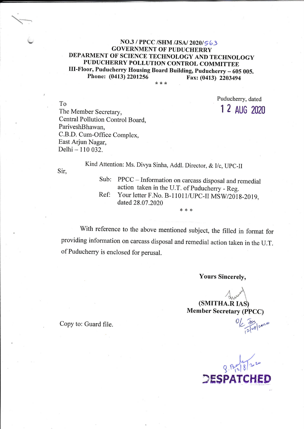## $NO.3 / PPCC / SHM / JSA / 2020 / 563$ **GOVERNMENT OF PUDUCHERRY** DEPARMENT OF SCIENCE TECHNOLOGY AND TECHNOLOGY PUDUCHERRY POLLUTION CONTROL COMMITTEE III-Floor, Puducherry Housing Board Building, Puducherry - 605 005. Phone: (0413) 2201256 Fax: (0413) 2203494

\* \* \*

To The Member Secretary, Central Pollution Control Board, PariveshBhawan. C.B.D. Cum-Office Complex, East Arjun Nagar, Delhi - 110 032.

Puducherry, dated 1 2 AUG 2020

Kind Attention: Ms. Divya Sinha, Addl. Director, & I/c, UPC-II

Sir,

- PPCC Information on carcass disposal and remedial Sub: action taken in the U.T. of Puducherry - Reg. Your letter F.No. B-11011/UPC-II MSW/2018-2019, Ref:
- dated 28.07.2020 \* \* \*

With reference to the above mentioned subject, the filled in format for providing information on carcass disposal and remedial action taken in the U.T. of Puducherry is enclosed for perusal.

**Yours Sincerely,** 

(SMITHA.R IAS) **Member Secretary (PPCC)** 

Copy to: Guard file.